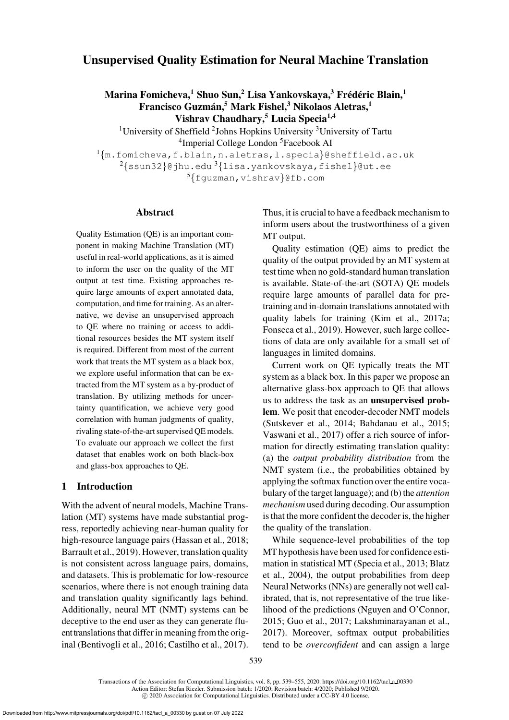# Unsupervised Quality Estimation for Neural Machine Translation

Marina Fomicheva, $^1$  Shuo Sun, $^2$  Lisa Yankovskaya, $^3$  Frédéric Blain, $^1$ Francisco Guzmán,<sup>5</sup> Mark Fishel,<sup>3</sup> Nikolaos Aletras,<sup>1</sup> Vishrav Chaudhary,<sup>5</sup> Lucia Specia<sup>1,4</sup>

<sup>1</sup>University of Sheffield <sup>2</sup>Johns Hopkins University <sup>3</sup>University of Tartu <sup>4</sup>Imperial College London<sup>5</sup> Facebook AI  $1\{m.fomicheva, f.blain, n.aletras, l.special}$  $1\{m.fomicheva, f.blain, n.aletras, l.special}$  $1\{m.fomicheva, f.blain, n.aletras, l.special}$  $1\{m.fomicheva, f.blain, n.aletras, l.special}$  $1\{m.fomicheva, f.blain, n.aletras, l.special}$ @sheffield.ac.uk  $2\{\text{ssun32}\}$  $2\{\text{ssun32}\}$  $2\{\text{ssun32}\}$ @jhu.edu $3\{1$ isa.yankovskaya,[fishel](mailto:fishel@ut.ee)}@ut.ee  ${}^{5}$ {[fguzman,](mailto:fguzman@fb.com) [vishrav](mailto:vishrav@fb.com)}@fb.com

#### Abstract

Quality Estimation (QE) is an important component in making Machine Translation (MT) useful in real-world applications, as it is aimed to inform the user on the quality of the MT output at test time. Existing approaches require large amounts of expert annotated data, computation, and time for training. As an alternative, we devise an unsupervised approach to QE where no training or access to additional resources besides the MT system itself is required. Different from most of the current work that treats the MT system as a black box, we explore useful information that can be extracted from the MT system as a by-product of translation. By utilizing methods for uncertainty quantification, we achieve very good correlation with human judgments of quality, rivaling state-of-the-art supervised QE models. To evaluate our approach we collect the first dataset that enables work on both black-box and glass-box approaches to QE.

### 1 Introduction

With the advent of neural models, Machine Translation (MT) systems have made substantial progress, reportedly achieving near-human quality for high-resource language pairs [\(Hassan et al., 2018](#page-14-0); [Barrault et al., 2019\)](#page-12-0). However, translation quality is not consistent across language pairs, domains, and datasets. This is problematic for low-resource scenarios, where there is not enough training data and translation quality significantly lags behind. Additionally, neural MT (NMT) systems can be deceptive to the end user as they can generate fluent translations that differ in meaning from the original [\(Bentivogli et al.](#page-12-1), [2016](#page-12-1); [Castilho et al., 2017\)](#page-13-0). Thus, it is crucial to have a feedback mechanism to inform users about the trustworthiness of a given MT output.

Quality estimation (QE) aims to predict the quality of the output provided by an MT system at test time when no gold-standard human translation is available. State-of-the-art (SOTA) QE models require large amounts of parallel data for pretraining and in-domain translations annotated with quality labels for training [\(Kim et al.](#page-14-1), [2017a;](#page-14-1) [Fonseca et al., 2019](#page-13-1)). However, such large collections of data are only available for a small set of languages in limited domains.

Current work on QE typically treats the MT system as a black box. In this paper we propose an alternative glass-box approach to QE that allows us to address the task as an unsupervised problem. We posit that encoder-decoder NMT models [\(Sutskever et al., 2014;](#page-16-0) [Bahdanau et al., 2015;](#page-12-2) [Vaswani et al.](#page-16-1), [2017](#page-16-1)) offer a rich source of information for directly estimating translation quality: (a) the *output probability distribution* from the NMT system (i.e., the probabilities obtained by applying the softmax function over the entire vocabulary of the target language); and (b) the *attention mechanism* used during decoding. Our assumption is that the more confident the decoder is, the higher the quality of the translation.

While sequence-level probabilities of the top MT hypothesis have been used for confidence estimation in statistical MT [\(Specia et al., 2013](#page-16-2); Blatz et al., [2004](#page-12-3)), the output probabilities from deep Neural Networks (NNs) are generally not well calibrated, that is, not representative of the true likelihood of the predictions [\(Nguyen and O'Connor,](#page-15-0) [2015](#page-15-0); [Guo et al., 2017;](#page-14-2) [Lakshminarayanan et al.,](#page-14-3) [2017](#page-14-3)). Moreover, softmax output probabilities tend to be *overconfident* and can assign a large

Transactions of the Association for Computational Linguistics, vol. 8, pp. 539–555, 2020. [https://doi.org/10.1162/tacl](https://doi.org/10.1162/tacl_a_00330) a 00330 Action Editor: Stefan Riezler. Submission batch: 1/2020; Revision batch: 4/2020; Published 9/2020. c 2020 Association for Computational Linguistics. Distributed under a CC-BY 4.0 license.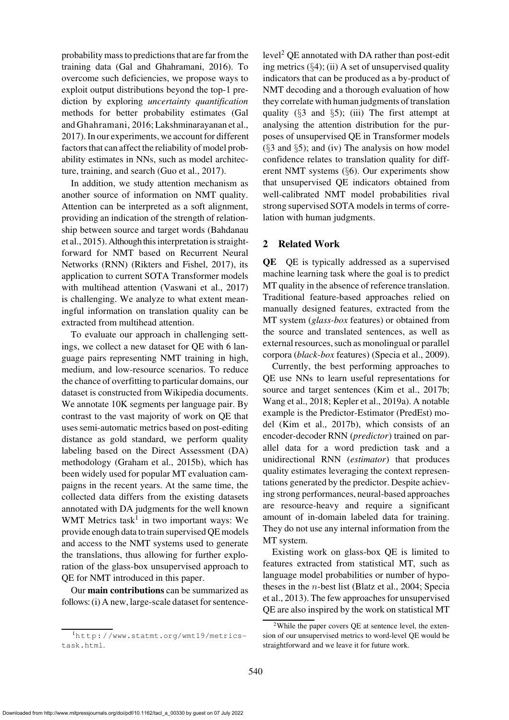probability mass to predictions that are far from the training data [\(Gal and Ghahramani](#page-13-2), [2016](#page-13-2)). To overcome such deficiencies, we propose ways to exploit output distributions beyond the top-1 prediction by exploring *uncertainty quantification* methods for better probability estimates (Gal and Ghahramani, [2016](#page-13-2); [Lakshminarayanan et al.,](#page-14-3) [2017](#page-14-3)). In our experiments, we account for different factors that can affect the reliability of model probability estimates in NNs, such as model architecture, training, and search [\(Guo et al., 2017](#page-14-2)).

In addition, we study attention mechanism as another source of information on NMT quality. Attention can be interpreted as a soft alignment, providing an indication of the strength of relationship [between source and target words \(](#page-12-2)Bahdanau et al.,  $2015$ ). Although this interpretation is straightforward for NMT based on Recurrent Neural Networks (RNN) [\(Rikters and Fishel](#page-15-1), [2017](#page-15-1)), its application to current SOTA Transformer models with multihead attention [\(Vaswani et al.](#page-16-1), [2017\)](#page-16-1) is challenging. We analyze to what extent meaningful information on translation quality can be extracted from multihead attention.

To evaluate our approach in challenging settings, we collect a new dataset for QE with 6 language pairs representing NMT training in high, medium, and low-resource scenarios. To reduce the chance of overfitting to particular domains, our dataset is constructed from Wikipedia documents. We annotate 10K segments per language pair. By contrast to the vast majority of work on QE that uses semi-automatic metrics based on post-editing distance as gold standard, we perform quality labeling based on the Direct Assessment (DA) methodology [\(Graham et al., 2015b](#page-13-3)), which has been widely used for popular MT evaluation campaigns in the recent years. At the same time, the collected data differs from the existing datasets annotated with DA judgments for the well known WMT Metrics task<sup>[1](#page-1-0)</sup> in two important ways: We provide enough data to train supervised QE models and access to the NMT systems used to generate the translations, thus allowing for further exploration of the glass-box unsupervised approach to QE for NMT introduced in this paper.

Our main contributions can be summarized as follows: (i) A new, large-scale dataset for sentence $level<sup>2</sup> QE annotated with DA rather than post-edit$  $level<sup>2</sup> QE annotated with DA rather than post-edit$  $level<sup>2</sup> QE annotated with DA rather than post-edit$ ing metrics  $(\S4)$  $(\S4)$ ; (ii) A set of unsupervised quality indicators that can be produced as a by-product of NMT decoding and a thorough evaluation of how they correlate with human judgments of translation quality ( $\S$ [3](#page-3-0) and  $\S$ [5\)](#page-6-0); (iii) The first attempt at analysing the attention distribution for the purposes of unsupervised QE in Transformer models  $(\S 3$  $(\S 3$  and  $\S 5)$  $\S 5)$ ; and (iv) The analysis on how model confidence relates to translation quality for different NMT systems (§[6\)](#page-10-0). Our experiments show that unsupervised QE indicators obtained from well-calibrated NMT model probabilities rival strong supervised SOTA models in terms of correlation with human judgments.

# <span id="page-1-2"></span>2 Related Work

QE QE is typically addressed as a supervised machine learning task where the goal is to predict MT quality in the absence of reference translation. Traditional feature-based approaches relied on manually designed features, extracted from the MT system (*glass-box* features) or obtained from the source and translated sentences, as well as external resources, such as monolingual or parallel corpora (*black-box* features) [\(Specia et al., 2009](#page-16-3)).

Currently, the best performing approaches to QE use NNs to learn useful representations for source and target sentences [\(Kim et al., 2017b;](#page-14-4) [Wang et al., 2018;](#page-16-4) [Kepler et al.](#page-14-5), [2019a](#page-14-5)). A notable example is the Predictor-Estimator (PredEst) model [\(Kim et al.](#page-14-4), [2017b](#page-14-4)), which consists of an encoder-decoder RNN (*predictor*) trained on parallel data for a word prediction task and a unidirectional RNN (*estimator*) that produces quality estimates leveraging the context representations generated by the predictor. Despite achieving strong performances, neural-based approaches are resource-heavy and require a significant amount of in-domain labeled data for training. They do not use any internal information from the MT system.

Existing work on glass-box QE is limited to features extracted from statistical MT, such as language model probabilities or number of hypotheses in the  $n$ [-best list](#page-16-2) [\(Blatz et al.](#page-12-3)[,](#page-16-2) [2004](#page-12-3)[;](#page-16-2) Special et al., [2013\)](#page-16-2). The few approaches for unsupervised QE are also inspired by the work on statistical MT

<span id="page-1-0"></span><sup>1</sup>[http://www.statmt.org/wmt19/metrics](http://www.statmt.org/wmt19/metrics-task.html)[task.html](http://www.statmt.org/wmt19/metrics-task.html).

<span id="page-1-1"></span><sup>2</sup>While the paper covers QE at sentence level, the extension of our unsupervised metrics to word-level QE would be straightforward and we leave it for future work.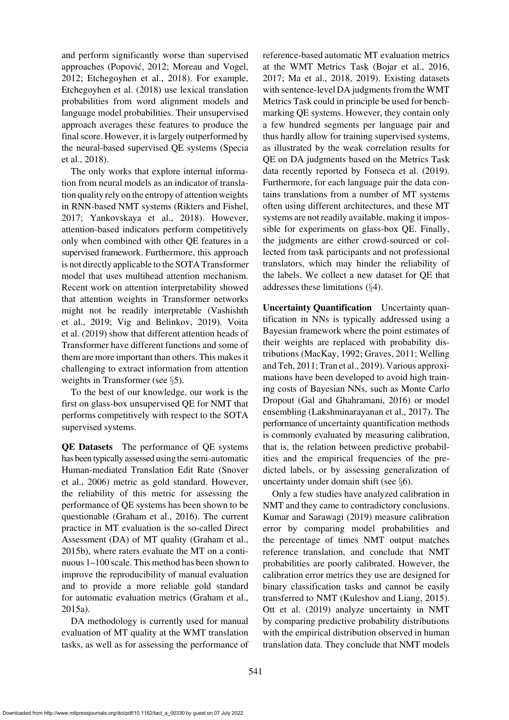and perform significantly worse than supervised approaches [\(Popovic, 2012;](#page-15-2) [Moreau and Vogel,](#page-15-3) ´ [2012](#page-15-3); [Etchegoyhen et al.](#page-13-4), [2018](#page-13-4)). For example, [Etchegoyhen et al.](#page-13-4) [\(2018](#page-13-4)) use lexical translation probabilities from word alignment models and language model probabilities. Their unsupervised approach averages these features to produce the final score. However, it is largely outperformed by the [neural-based supervised QE systems \(](#page-16-5)Specia et al., [2018\)](#page-16-5).

The only works that explore internal information from neural models as an indicator of translation quality rely on the entropy of attention weights in RNN-based NMT systems [\(Rikters and Fishel,](#page-15-1) [2017](#page-15-1); [Yankovskaya et al., 2018\)](#page-16-6). However, attention-based indicators perform competitively only when combined with other QE features in a supervised framework. Furthermore, this approach is not directly applicable to the SOTA Transformer model that uses multihead attention mechanism. Recent work on attention interpretability showed that attention weights in Transformer networks migh[t not be readily interpretable \(](#page-16-7)Vashishth et a[l.,](#page-16-9) [2019](#page-16-7)[;](#page-16-9) [Vig and Belinkov](#page-16-8)[,](#page-16-9) [2019](#page-16-8)[\).](#page-16-9) Voita et al. [\(2019](#page-16-9)) show that different attention heads of Transformer have different functions and some of them are more important than others. This makes it challenging to extract information from attention weights in Transformer (see §[5\)](#page-6-0).

To the best of our knowledge, our work is the first on glass-box unsupervised QE for NMT that performs competitively with respect to the SOTA supervised systems.

QE Datasets The performance of QE systems has been typically assessed using the semi-automatic Hum[an-mediated Translation Edit Rate \(](#page-15-4)Snover et al., [2006](#page-15-4)) metric as gold standard. However, the reliability of this metric for assessing the performance of QE systems has been shown to be questionable [\(Graham et al.](#page-13-5), [2016](#page-13-5)). The current practice in MT evaluation is the so-called Direct Assessment (DA) of MT quality [\(Graham et al.,](#page-13-3) [2015b\)](#page-13-3), where raters evaluate the MT on a continuous 1–100 scale. This method has been shown to improve the reproducibility of manual evaluation and to provide a more reliable gold standard for automatic evaluation metrics [\(Graham et al.,](#page-13-6) [2015a](#page-13-6)).

DA methodology is currently used for manual evaluation of MT quality at the WMT translation tasks, as well as for assessing the performance of reference-based automatic MT evaluation metrics at the WMT Metrics Task [\(Bojar et al., 2016,](#page-12-4) [2017](#page-12-5); [Ma et al., 2018](#page-15-5), [2019](#page-15-6)). Existing datasets with sentence-level DA judgments from the WMT Metrics Task could in principle be used for benchmarking QE systems. However, they contain only a few hundred segments per language pair and thus hardly allow for training supervised systems, as illustrated by the weak correlation results for QE on DA judgments based on the Metrics Task data recently reported by [Fonseca et al. \(2019](#page-13-1)). Furthermore, for each language pair the data contains translations from a number of MT systems often using different architectures, and these MT systems are not readily available, making it impossible for experiments on glass-box QE. Finally, the judgments are either crowd-sourced or collected from task participants and not professional translators, which may hinder the reliability of the labels. We collect a new dataset for QE that addresses these limitations (§[4\)](#page-5-0).

Uncertainty Quantification Uncertainty quantification in NNs is typically addressed using a Bayesian framework where the point estimates of their weights are replaced with probability distributio[ns](#page-16-10) [\(MacKay, 1992](#page-15-7)[;](#page-16-10) [Graves, 2011;](#page-13-7) Welling and Teh, [2011;](#page-16-10) [Tran et al., 2019](#page-16-11)). Various approximations have been developed to avoid high training costs of Bayesian NNs, such as Monte Carlo Dropout [\(Gal and Ghahramani](#page-13-2), [2016](#page-13-2)) or model ensembling [\(Lakshminarayanan et al., 2017](#page-14-3)). The performance of uncertainty quantification methods is commonly evaluated by measuring calibration, that is, the relation between predictive probabilities and the empirical frequencies of the predicted labels, or by assessing generalization of uncertainty under domain shift (see §[6\)](#page-10-0).

Only a few studies have analyzed calibration in NMT and they came to contradictory conclusions. [Kumar and Sarawagi \(2019](#page-14-6)) measure calibration error by comparing model probabilities and the percentage of times NMT output matches reference translation, and conclude that NMT probabilities are poorly calibrated. However, the calibration error metrics they use are designed for binary classification tasks and cannot be easily transferred to NMT [\(Kuleshov and Liang](#page-14-7), [2015](#page-14-7)). [Ott et al.](#page-15-8) [\(2019](#page-15-8)) analyze uncertainty in NMT by comparing predictive probability distributions with the empirical distribution observed in human translation data. They conclude that NMT models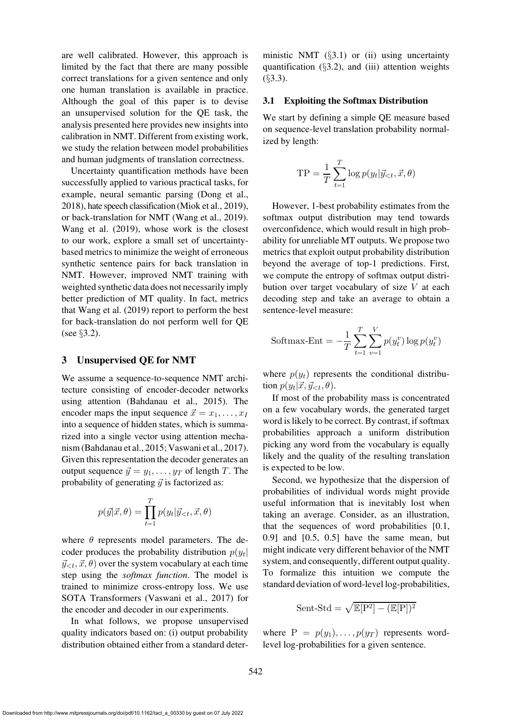are well calibrated. However, this approach is limited by the fact that there are many possible correct translations for a given sentence and only one human translation is available in practice. Although the goal of this paper is to devise an unsupervised solution for the QE task, the analysis presented here provides new insights into calibration in NMT. Different from existing work, we study the relation between model probabilities and human judgments of translation correctness.

Uncertainty quantification methods have been successfully applied to various practical tasks, for example, neural semantic parsing [\(Dong et al.,](#page-13-8) [2018](#page-13-8)), hate speech classification [\(Miok et al.](#page-15-9), [2019\)](#page-15-9), or back-translation for NMT [\(Wang et al.](#page-16-12), [2019\)](#page-16-12). [Wang et al.](#page-16-12) [\(2019\)](#page-16-12), whose work is the closest to our work, explore a small set of uncertaintybased metrics to minimize the weight of erroneous synthetic sentence pairs for back translation in NMT. However, improved NMT training with weighted synthetic data does not necessarily imply better prediction of MT quality. In fact, metrics that [Wang et al.](#page-16-12) [\(2019\)](#page-16-12) report to perform the best for back-translation do not perform well for QE (see §[3.2\)](#page-4-0).

## <span id="page-3-0"></span>3 Unsupervised QE for NMT

We assume a sequence-to-sequence NMT architecture consisting of encoder-decoder networks using attention [\(Bahdanau et al.](#page-12-2), [2015\)](#page-12-2). The encoder maps the input sequence  $\vec{x} = x_1, \dots, x_I$ into a sequence of hidden states, which is summarized into a single vector using attention mechanism [\(Bahdanau et al.](#page-12-2), [2015;](#page-12-2) [Vaswani et al.](#page-16-1), [2017](#page-16-1)). Given this representation the decoder generates an output sequence  $\vec{y} = y_1, \dots, y_T$  of length T. The probability of generating  $\vec{y}$  is factorized as:

$$
p(\vec{y}|\vec{x},\theta) = \prod_{t=1}^{T} p(y_t|\vec{y}_{< t}, \vec{x}, \theta)
$$

where  $\theta$  represents model parameters. The decoder produces the probability distribution  $p(y_t)$  $\vec{y}_{\leq t}, \vec{x}, \theta$  over the system vocabulary at each time step using the *softmax function*. The model is trained to minimize cross-entropy loss. We use SOTA Transformers [\(Vaswani et al., 2017](#page-16-1)) for the encoder and decoder in our experiments.

In what follows, we propose unsupervised quality indicators based on: (i) output probability distribution obtained either from a standard deterministic NMT  $(\S 3.1)$  $(\S 3.1)$  or (ii) using uncertainty quantification  $(\S3.2)$  $(\S3.2)$ , and (iii) attention weights  $(§3.3).$  $(§3.3).$  $(§3.3).$ 

### <span id="page-3-1"></span>3.1 Exploiting the Softmax Distribution

We start by defining a simple QE measure based on sequence-level translation probability normalized by length:

$$
TP = \frac{1}{T} \sum_{t=1}^{T} \log p(y_t | \vec{y}_{\leq t}, \vec{x}, \theta)
$$

However, 1-best probability estimates from the softmax output distribution may tend towards overconfidence, which would result in high probability for unreliable MT outputs. We propose two metrics that exploit output probability distribution beyond the average of top-1 predictions. First, we compute the entropy of softmax output distribution over target vocabulary of size V at each decoding step and take an average to obtain a sentence-level measure:

Softmax-Ent = 
$$
-\frac{1}{T} \sum_{t=1}^{T} \sum_{v=1}^{V} p(y_t^v) \log p(y_t^v)
$$

where  $p(y_t)$  represents the conditional distribution  $p(y_t|\vec{x}, \vec{y}_{< t}, \theta)$ .

If most of the probability mass is concentrated on a few vocabulary words, the generated target word is likely to be correct. By contrast, if softmax probabilities approach a uniform distribution picking any word from the vocabulary is equally likely and the quality of the resulting translation is expected to be low.

Second, we hypothesize that the dispersion of probabilities of individual words might provide useful information that is inevitably lost when taking an average. Consider, as an illustration, that the sequences of word probabilities [0.1, 0.9] and [0.5, 0.5] have the same mean, but might indicate very different behavior of the NMT system, and consequently, different output quality. To formalize this intuition we compute the standard deviation of word-level log-probabilities,

$$
Sent\text{-Std} = \sqrt{\mathbb{E}[P^2] - (\mathbb{E}[P])^2}
$$

where  $P = p(y_1), \ldots, p(y_T)$  represents wordlevel log-probabilities for a given sentence.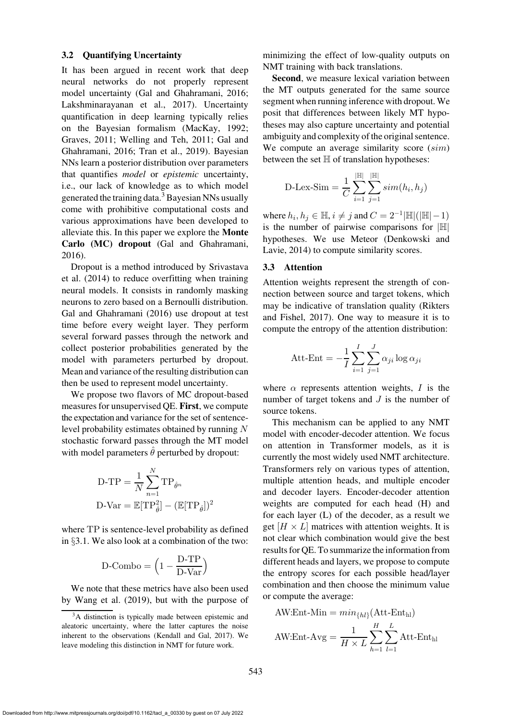#### <span id="page-4-0"></span>3.2 Quantifying Uncertainty

It has been argued in recent work that deep neural networks do not properly represent model uncertainty [\(Gal and Ghahramani, 2016](#page-13-2); [Lakshminarayanan et al., 2017\)](#page-14-3). Uncertainty quantification in deep learning typically relies on the Bayesian formalism [\(MacKay, 1992](#page-15-7); [Graves](#page-13-7), [2011](#page-13-7)[;](#page-13-2) [Welling and Teh](#page-16-10)[,](#page-13-2) [2011;](#page-16-10) Gal and Ghahramani, [2016](#page-13-2); [Tran et al.](#page-16-11), [2019](#page-16-11)). Bayesian NNs learn a posterior distribution over parameters that quantifies *model* or *epistemic* uncertainty, i.e., our lack of knowledge as to which model generated the training data.[3](#page-4-2) Bayesian NNs usually come with prohibitive computational costs and various approximations have been developed to alleviate this. In this paper we explore the Monte Carlo (MC) dropout [\(Gal and Ghahramani,](#page-13-2) [2016](#page-13-2)).

Dr[opout is a method introduced by](#page-16-13) Srivastava et al. [\(2014](#page-16-13)) to reduce overfitting when training neural models. It consists in randomly masking neurons to zero based on a Bernoulli distribution. [Gal and Ghahramani](#page-13-2) [\(2016](#page-13-2)) use dropout at test time before every weight layer. They perform several forward passes through the network and collect posterior probabilities generated by the model with parameters perturbed by dropout. Mean and variance of the resulting distribution can then be used to represent model uncertainty.

We propose two flavors of MC dropout-based measures for unsupervised QE. First, we compute the expectation and variance for the set of sentencelevel probability estimates obtained by running N stochastic forward passes through the MT model with model parameters  $\theta$  perturbed by dropout:

D-TP = 
$$
\frac{1}{N} \sum_{n=1}^{N} TP_{\hat{\theta}^n}
$$
  
D-Var =  $\mathbb{E}[TP_{\hat{\theta}}^2] - (\mathbb{E}[TP_{\hat{\theta}}])^2$ 

where TP is sentence-level probability as defined in §[3.1.](#page-3-1) We also look at a combination of the two:

$$
\text{D-Combo} = \Big(1-\frac{\text{D-TP}}{\text{D-Var}}\Big)
$$

We note that these metrics have also been used by [Wang et al. \(2019](#page-16-12)), but with the purpose of minimizing the effect of low-quality outputs on NMT training with back translations.

Second, we measure lexical variation between the MT outputs generated for the same source segment when running inference with dropout. We posit that differences between likely MT hypotheses may also capture uncertainty and potential ambiguity and complexity of the original sentence. We compute an average similarity score (sim) between the set  $\mathbb H$  of translation hypotheses:

D-Lex-Sim = 
$$
\frac{1}{C} \sum_{i=1}^{|\mathbb{H}|} \sum_{j=1}^{|\mathbb{H}|} sim(h_i, h_j)
$$

where  $h_i, h_j \in \mathbb{H}$ ,  $i \neq j$  and  $C = 2^{-1}|\mathbb{H}|(|\mathbb{H}|-1)$ is the number of pairwise comparisons for  $|\mathbb{H}|$ hypo[theses. We use Meteor \(](#page-13-9)Denkowski and Lavie, [2014\)](#page-13-9) to compute similarity scores.

### <span id="page-4-1"></span>3.3 Attention

Attention weights represent the strength of connection between source and target tokens, which may be in[dicative of translation quality \(](#page-15-1)Rikters and Fishel, [2017\)](#page-15-1). One way to measure it is to compute the entropy of the attention distribution:

Att-Ent = 
$$
-\frac{1}{I} \sum_{i=1}^{I} \sum_{j=1}^{J} \alpha_{ji} \log \alpha_{ji}
$$

where  $\alpha$  represents attention weights, I is the number of target tokens and  $J$  is the number of source tokens.

This mechanism can be applied to any NMT model with encoder-decoder attention. We focus on attention in Transformer models, as it is currently the most widely used NMT architecture. Transformers rely on various types of attention, multiple attention heads, and multiple encoder and decoder layers. Encoder-decoder attention weights are computed for each head (H) and for each layer (L) of the decoder, as a result we get  $[H \times L]$  matrices with attention weights. It is not clear which combination would give the best results for QE. To summarize the information from different heads and layers, we propose to compute the entropy scores for each possible head/layer combination and then choose the minimum value or compute the average:

AW:Ent-Min = 
$$
min_{\{hl\}}(Att\text{-Ent}_{hl})
$$
  
AW:Ent-Avg =  $\frac{1}{H \times L} \sum_{h=1}^{H} \sum_{l=1}^{L} Att\text{-Ent}_{hl}$ 

<span id="page-4-2"></span><sup>&</sup>lt;sup>3</sup>A distinction is typically made between epistemic and aleatoric uncertainty, where the latter captures the noise inherent to the observations [\(Kendall and Gal, 2017\)](#page-14-8). We leave modeling this distinction in NMT for future work.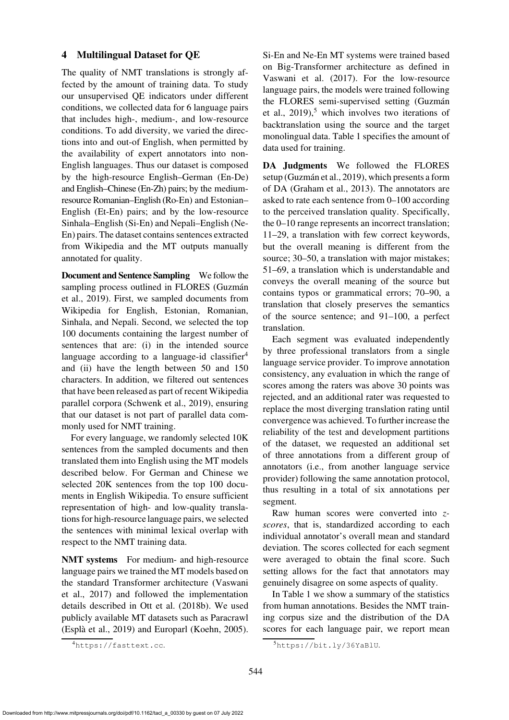## <span id="page-5-0"></span>4 Multilingual Dataset for QE

The quality of NMT translations is strongly affected by the amount of training data. To study our unsupervised QE indicators under different conditions, we collected data for 6 language pairs that includes high-, medium-, and low-resource conditions. To add diversity, we varied the directions into and out-of English, when permitted by the availability of expert annotators into non-English languages. Thus our dataset is composed by the high-resource English–German (En-De) and English–Chinese (En-Zh) pairs; by the mediumresource Romanian–English (Ro-En) and Estonian– English (Et-En) pairs; and by the low-resource Sinhala–English (Si-En) and Nepali–English (Ne-En) pairs. The dataset contains sentences extracted from Wikipedia and the MT outputs manually annotated for quality.

Document and Sentence Sampling We follow the sam[pling process outlined in FLORES \(](#page-14-9)Guzmán et al., [2019](#page-14-9)). First, we sampled documents from Wikipedia for English, Estonian, Romanian, Sinhala, and Nepali. Second, we selected the top 100 documents containing the largest number of sentences that are: (i) in the intended source language according to a language-id classifier<sup>[4](#page-5-1)</sup> and (ii) have the length between 50 and 150 characters. In addition, we filtered out sentences that have been released as part of recent Wikipedia parallel corpora [\(Schwenk et al., 2019\)](#page-15-10), ensuring that our dataset is not part of parallel data commonly used for NMT training.

For every language, we randomly selected 10K sentences from the sampled documents and then translated them into English using the MT models described below. For German and Chinese we selected 20K sentences from the top 100 documents in English Wikipedia. To ensure sufficient representation of high- and low-quality translations for high-resource language pairs, we selected the sentences with minimal lexical overlap with respect to the NMT training data.

NMT systems For medium- and high-resource language pairs we trained the MT models based on the s[tandard Transformer architecture \(](#page-16-1)Vaswani et al., [2017\)](#page-16-1) and followed the implementation details described in [Ott et al.](#page-15-11) [\(2018b](#page-15-11)). We used publicly available MT datasets such as Paracrawl [\(Espla et al., 2019](#page-13-10)) and Europarl [\(Koehn, 2005\)](#page-14-10). ` Si-En and Ne-En MT systems were trained based on Big-Transformer architecture as defined in [Vaswani et al.](#page-16-1) [\(2017\)](#page-16-1). For the low-resource language pairs, the models were trained following the [FLORES semi-supervised setting \(](#page-14-9)Guzmán et al.,  $2019$ <sup>[5](#page-5-2)</sup>, which involves two iterations of backtranslation using the source and the target monolingual data. [Table 1](#page-6-1) specifies the amount of data used for training.

DA Judgments We followed the FLORES setup (Guzmán et al., 2019), which presents a form of DA [\(Graham et al.](#page-13-11), [2013](#page-13-11)). The annotators are asked to rate each sentence from 0–100 according to the perceived translation quality. Specifically, the 0–10 range represents an incorrect translation; 11–29, a translation with few correct keywords, but the overall meaning is different from the source; 30–50, a translation with major mistakes; 51–69, a translation which is understandable and conveys the overall meaning of the source but contains typos or grammatical errors; 70–90, a translation that closely preserves the semantics of the source sentence; and 91–100, a perfect translation.

Each segment was evaluated independently by three professional translators from a single language service provider. To improve annotation consistency, any evaluation in which the range of scores among the raters was above 30 points was rejected, and an additional rater was requested to replace the most diverging translation rating until convergence was achieved. To further increase the reliability of the test and development partitions of the dataset, we requested an additional set of three annotations from a different group of annotators (i.e., from another language service provider) following the same annotation protocol, thus resulting in a total of six annotations per segment.

Raw human scores were converted into *zscores*, that is, standardized according to each individual annotator's overall mean and standard deviation. The scores collected for each segment were averaged to obtain the final score. Such setting allows for the fact that annotators may genuinely disagree on some aspects of quality.

In [Table 1](#page-6-1) we show a summary of the statistics from human annotations. Besides the NMT training corpus size and the distribution of the DA scores for each language pair, we report mean

<span id="page-5-1"></span><sup>4</sup><https://fasttext.cc>.

<span id="page-5-2"></span><sup>5</sup><https://bit.ly/36YaBlU>.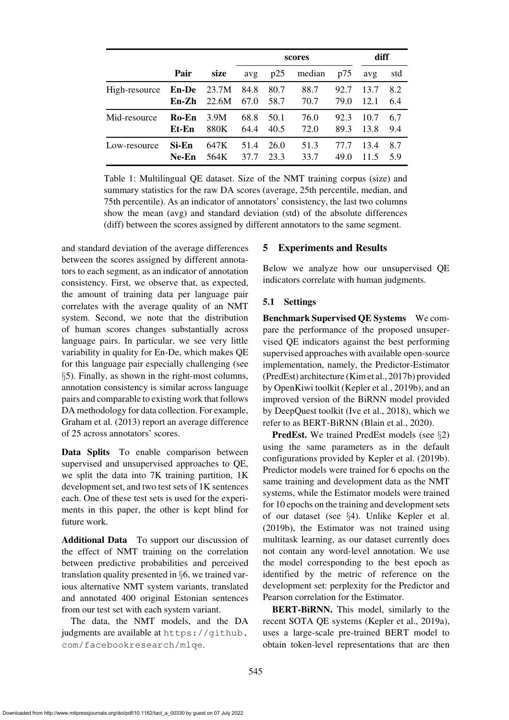|               |              |       | scores |      |        |      | diff |     |
|---------------|--------------|-------|--------|------|--------|------|------|-----|
|               | Pair         | size  | avg    | p25  | median | p75  | avg  | std |
| High-resource | <b>En-De</b> | 23.7M | 84.8   | 80.7 | 88.7   | 92.7 | 13.7 | 8.2 |
|               | En-Zh        | 22.6M | 67.0   | 58.7 | 70.7   | 79.0 | 12.1 | 6.4 |
| Mid-resource  | Ro-En        | 3.9M  | 68.8   | 50.1 | 76.0   | 92.3 | 10.7 | 6.7 |
|               | Et-En        | 880K  | 64.4   | 40.5 | 72.0   | 89.3 | 13.8 | 9.4 |
| Low-resource  | Si-En        | 647K  | 51.4   | 26.0 | 51.3   | 77.7 | 13.4 | 8.7 |
|               | $Ne-En$      | 564K  | 37.7   | 23.3 | 33.7   | 49.0 | 11.5 | 5.9 |

<span id="page-6-1"></span>Table 1: Multilingual QE dataset. Size of the NMT training corpus (size) and summary statistics for the raw DA scores (average, 25th percentile, median, and 75th percentile). As an indicator of annotators' consistency, the last two columns show the mean (avg) and standard deviation (std) of the absolute differences (diff) between the scores assigned by different annotators to the same segment.

and standard deviation of the average differences between the scores assigned by different annotators to each segment, as an indicator of annotation consistency. First, we observe that, as expected, the amount of training data per language pair correlates with the average quality of an NMT system. Second, we note that the distribution of human scores changes substantially across language pairs. In particular, we see very little variability in quality for En-De, which makes QE for this language pair especially challenging (see §[5\)](#page-6-0). Finally, as shown in the right-most columns, annotation consistency is similar across language pairs and comparable to existing work that follows DA methodology for data collection. For example, [Graham et al. \(2013](#page-13-11)) report an average difference of 25 across annotators' scores.

Data Splits To enable comparison between supervised and unsupervised approaches to QE, we split the data into 7K training partition, 1K development set, and two test sets of 1K sentences each. One of these test sets is used for the experiments in this paper, the other is kept blind for future work.

Additional Data To support our discussion of the effect of NMT training on the correlation between predictive probabilities and perceived translation quality presented in §[6,](#page-10-0) we trained various alternative NMT system variants, translated and annotated 400 original Estonian sentences from our test set with each system variant.

The data, the NMT models, and the DA judgments are available at [https://github.](https://github.com/facebookresearch/mlqe) [com/facebookresearch/mlqe](https://github.com/facebookresearch/mlqe).

## <span id="page-6-0"></span>5 Experiments and Results

Below we analyze how our unsupervised QE indicators correlate with human judgments.

#### <span id="page-6-2"></span>5.1 Settings

Benchmark Supervised QE Systems We compare the performance of the proposed unsupervised QE indicators against the best performing supervised approaches with available open-source implementation, namely, the Predictor-Estimator (PredEst) architecture [\(Kim et al., 2017b\)](#page-14-4) provided by OpenKiwi toolkit [\(Kepler et al.](#page-14-11), [2019b\)](#page-14-11), and an improved version of the BiRNN model provided by DeepQuest toolkit [\(Ive et al.](#page-14-12), [2018\)](#page-14-12), which we refer to as BERT-BiRNN [\(Blain et al., 2020](#page-12-6)).

PredEst. We trained PredEst models (see §[2\)](#page-1-2) using the same parameters as in the default configurations provided by [Kepler et al.](#page-14-11) [\(2019b](#page-14-11)). Predictor models were trained for 6 epochs on the same training and development data as the NMT systems, while the Estimator models were trained for 10 epochs on the training and development sets of our dataset (see §[4\)](#page-5-0). Unlike [Kepler et al.](#page-14-11) [\(2019b\)](#page-14-11), the Estimator was not trained using multitask learning, as our dataset currently does not contain any word-level annotation. We use the model corresponding to the best epoch as identified by the metric of reference on the development set: perplexity for the Predictor and Pearson correlation for the Estimator.

BERT-BIRNN. This model, similarly to the recent SOTA QE systems [\(Kepler et al., 2019a](#page-14-5)), uses a large-scale pre-trained BERT model to obtain token-level representations that are then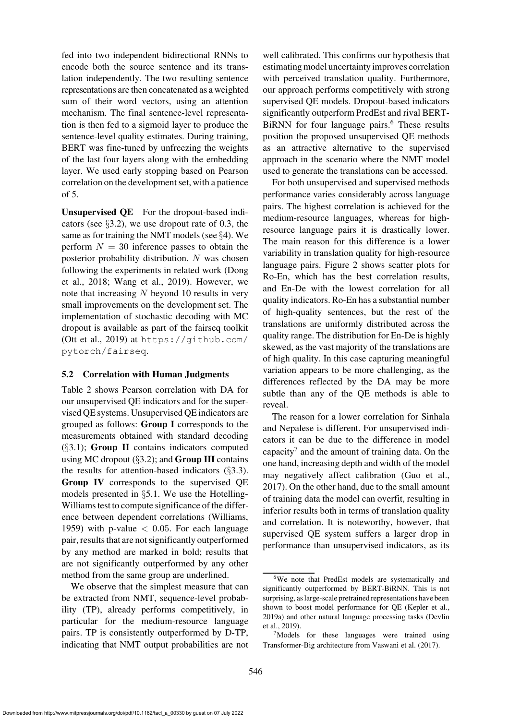fed into two independent bidirectional RNNs to encode both the source sentence and its translation independently. The two resulting sentence representations are then concatenated as a weighted sum of their word vectors, using an attention mechanism. The final sentence-level representation is then fed to a sigmoid layer to produce the sentence-level quality estimates. During training, BERT was fine-tuned by unfreezing the weights of the last four layers along with the embedding layer. We used early stopping based on Pearson correlation on the development set, with a patience of 5.

Unsupervised QE For the dropout-based indicators (see §[3.2\)](#page-4-0), we use dropout rate of 0.3, the same as for training the NMT models (see §[4\)](#page-5-0). We perform  $N = 30$  inference passes to obtain the posterior probability distribution. N was chosen follo[wing the experiments in related work \(](#page-13-8)Dong et al., [2018](#page-13-8); [Wang et al.](#page-16-12), [2019](#page-16-12)). However, we note that increasing  $N$  beyond 10 results in very small improvements on the development set. The implementation of stochastic decoding with MC dropout is available as part of the fairseq toolkit [\(Ott et al.](#page-15-8), [2019](#page-15-8)) at [https://github.com/](https://github.com/pytorch/fairseq) [pytorch/fairseq](https://github.com/pytorch/fairseq).

#### 5.2 Correlation with Human Judgments

[Table 2](#page-8-0) shows Pearson correlation with DA for our unsupervised QE indicators and for the supervised QE systems. Unsupervised QE indicators are grouped as follows: Group I corresponds to the measurements obtained with standard decoding  $(\S3.1)$  $(\S3.1)$ ; Group II contains indicators computed using MC dropout  $(\S3.2)$  $(\S3.2)$ ; and **Group III** contains the results for attention-based indicators  $(\S3.3)$  $(\S3.3)$ . Group IV corresponds to the supervised QE models presented in §[5.1.](#page-6-2) We use the Hotelling-Williams test to compute significance of the difference between dependent correlations [\(Williams](#page-16-14), [1959](#page-16-14)) with p-value  $< 0.05$ . For each language pair, results that are not significantly outperformed by any method are marked in bold; results that are not significantly outperformed by any other method from the same group are underlined.

We observe that the simplest measure that can be extracted from NMT, sequence-level probability (TP), already performs competitively, in particular for the medium-resource language pairs. TP is consistently outperformed by D-TP, indicating that NMT output probabilities are not well calibrated. This confirms our hypothesis that estimating model uncertainty improves correlation with perceived translation quality. Furthermore, our approach performs competitively with strong supervised QE models. Dropout-based indicators significantly outperform PredEst and rival BERT-BiRNN for four language pairs.<sup>[6](#page-7-0)</sup> These results position the proposed unsupervised QE methods as an attractive alternative to the supervised approach in the scenario where the NMT model used to generate the translations can be accessed.

For both unsupervised and supervised methods performance varies considerably across language pairs. The highest correlation is achieved for the medium-resource languages, whereas for highresource language pairs it is drastically lower. The main reason for this difference is a lower variability in translation quality for high-resource language pairs. [Figure 2](#page-9-0) shows scatter plots for Ro-En, which has the best correlation results, and En-De with the lowest correlation for all quality indicators. Ro-En has a substantial number of high-quality sentences, but the rest of the translations are uniformly distributed across the quality range. The distribution for En-De is highly skewed, as the vast majority of the translations are of high quality. In this case capturing meaningful variation appears to be more challenging, as the differences reflected by the DA may be more subtle than any of the QE methods is able to reveal.

The reason for a lower correlation for Sinhala and Nepalese is different. For unsupervised indicators it can be due to the difference in model capacity<sup>[7](#page-7-1)</sup> and the amount of training data. On the one hand, increasing depth and width of the model may negatively affect calibration [\(Guo et al.,](#page-14-2) [2017](#page-14-2)). On the other hand, due to the small amount of training data the model can overfit, resulting in inferior results both in terms of translation quality and correlation. It is noteworthy, however, that supervised QE system suffers a larger drop in performance than unsupervised indicators, as its

<span id="page-7-0"></span><sup>&</sup>lt;sup>6</sup>We note that PredEst models are systematically and significantly outperformed by BERT-BiRNN. This is not surprising, as large-scale pretrained representations have been shown to boost model performance for QE [\(Kepler et al.](#page-14-5), [2019a](#page-14-5)[\) and other natural language processing tasks \(](#page-13-12)Devlin et al., [2019](#page-13-12)).

<span id="page-7-1"></span><sup>&</sup>lt;sup>7</sup>Models for these languages were trained using Transformer-Big architecture from [Vaswani et al.](#page-16-1) [\(2017](#page-16-1)).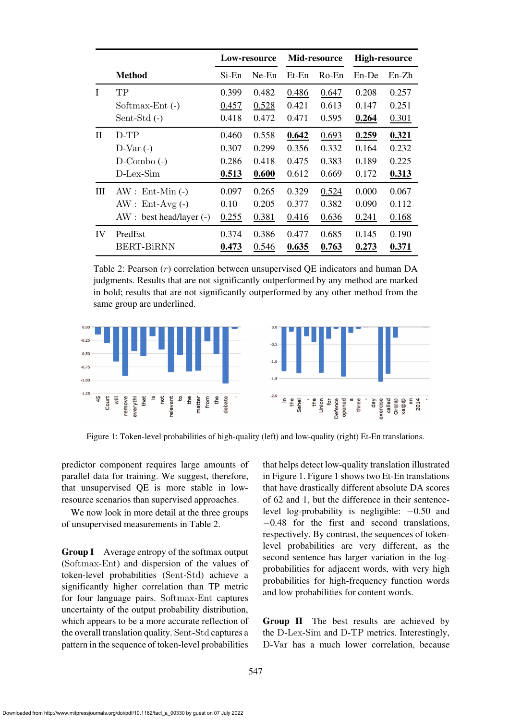|              |                          | Low-resource |          | Mid-resource |          | <b>High-resource</b> |         |
|--------------|--------------------------|--------------|----------|--------------|----------|----------------------|---------|
|              | <b>Method</b>            | Si-En        | $Ne$ -En | $Et$ -En     | $Ro$ -En | En-De                | $En-Zh$ |
| I            | TP                       | 0.399        | 0.482    | 0.486        | 0.647    | 0.208                | 0.257   |
|              | Softmax-Ent (-)          | 0.457        | 0.528    | 0.421        | 0.613    | 0.147                | 0.251   |
|              | $Sent-Std(-)$            | 0.418        | 0.472    | 0.471        | 0.595    | 0.264                | 0.301   |
| $\mathbf{H}$ | $D-TP$                   | 0.460        | 0.558    | 0.642        | 0.693    | 0.259                | 0.321   |
|              | $D-Var(-)$               | 0.307        | 0.299    | 0.356        | 0.332    | 0.164                | 0.232   |
|              | $D$ -Combo $(-)$         | 0.286        | 0.418    | 0.475        | 0.383    | 0.189                | 0.225   |
|              | D-Lex-Sim                | 0.513        | 0.600    | 0.612        | 0.669    | 0.172                | 0.313   |
| Ш            | $AW: Ent-Min (-)$        | 0.097        | 0.265    | 0.329        | 0.524    | 0.000                | 0.067   |
|              | $AW: Ent-Avg(-)$         | 0.10         | 0.205    | 0.377        | 0.382    | 0.090                | 0.112   |
|              | $AW: best head/layer(-)$ | 0.255        | 0.381    | 0.416        | 0.636    | 0.241                | 0.168   |
| IV           | PredEst                  | 0.374        | 0.386    | 0.477        | 0.685    | 0.145                | 0.190   |
|              | BERT-BiRNN               | 0.473        | 0.546    | 0.635        | 0.763    | 0.273                | 0.371   |

<span id="page-8-0"></span>Table 2: Pearson  $(r)$  correlation between unsupervised OE indicators and human DA judgments. Results that are not significantly outperformed by any method are marked in bold; results that are not significantly outperformed by any other method from the same group are underlined.



<span id="page-8-1"></span>Figure 1: Token-level probabilities of high-quality (left) and low-quality (right) Et-En translations.

predictor component requires large amounts of parallel data for training. We suggest, therefore, that unsupervised QE is more stable in lowresource scenarios than supervised approaches.

We now look in more detail at the three groups of unsupervised measurements in [Table 2.](#page-8-0)

Group I Average entropy of the softmax output (Softmax-Ent) and dispersion of the values of token-level probabilities (Sent-Std) achieve a significantly higher correlation than TP metric for four language pairs. Softmax-Ent captures uncertainty of the output probability distribution, which appears to be a more accurate reflection of the overall translation quality. Sent-Std captures a pattern in the sequence of token-level probabilities

that helps detect low-quality translation illustrated in [Figure 1. Figure 1](#page-8-1) shows two Et-En translations that have drastically different absolute DA scores of 62 and 1, but the difference in their sentencelevel log-probability is negligible: −0.50 and −0.48 for the first and second translations, respectively. By contrast, the sequences of tokenlevel probabilities are very different, as the second sentence has larger variation in the logprobabilities for adjacent words, with very high probabilities for high-frequency function words and low probabilities for content words.

Group II The best results are achieved by the D-Lex-Sim and D-TP metrics. Interestingly, D-Var has a much lower correlation, because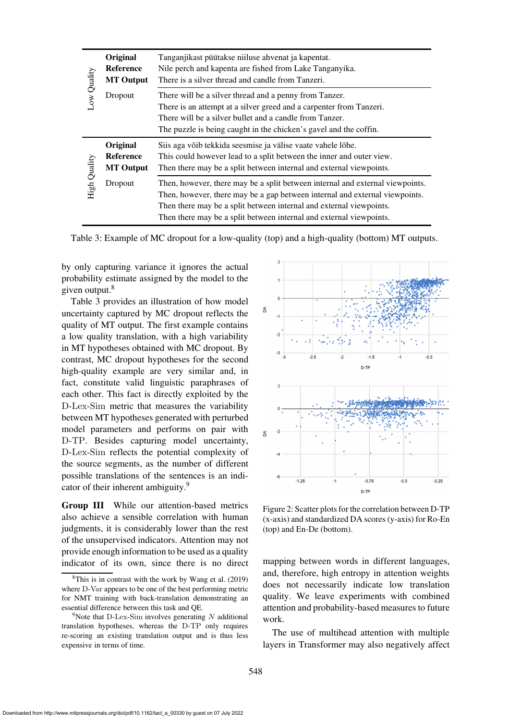|              | Original<br><b>Reference</b><br><b>MT</b> Output | Tanganjikast püütakse niiluse ahvenat ja kapentat.<br>Nile perch and kapenta are fished from Lake Tanganyika.<br>There is a silver thread and candle from Tanzeri.                                                                                                                                         |  |  |
|--------------|--------------------------------------------------|------------------------------------------------------------------------------------------------------------------------------------------------------------------------------------------------------------------------------------------------------------------------------------------------------------|--|--|
| Low Quality  | Dropout                                          | There will be a silver thread and a penny from Tanzer.<br>There is an attempt at a silver greed and a carpenter from Tanzeri.<br>There will be a silver bullet and a candle from Tanzer.<br>The puzzle is being caught in the chicken's gavel and the coffin.                                              |  |  |
|              | Original<br><b>Reference</b><br><b>MT</b> Output | Siis aga võib tekkida seesmise ja välise vaate vahele lõhe.<br>This could however lead to a split between the inner and outer view.<br>Then there may be a split between internal and external viewpoints.                                                                                                 |  |  |
| High Quality | Dropout                                          | Then, however, there may be a split between internal and external viewpoints.<br>Then, however, there may be a gap between internal and external viewpoints.<br>Then there may be a split between internal and external viewpoints.<br>Then there may be a split between internal and external viewpoints. |  |  |

<span id="page-9-2"></span>Table 3: Example of MC dropout for a low-quality (top) and a high-quality (bottom) MT outputs.

by only capturing variance it ignores the actual probability estimate assigned by the model to the given output.<sup>[8](#page-9-1)</sup>

[Table 3](#page-9-2) provides an illustration of how model uncertainty captured by MC dropout reflects the quality of MT output. The first example contains a low quality translation, with a high variability in MT hypotheses obtained with MC dropout. By contrast, MC dropout hypotheses for the second high-quality example are very similar and, in fact, constitute valid linguistic paraphrases of each other. This fact is directly exploited by the D-Lex-Sim metric that measures the variability between MT hypotheses generated with perturbed model parameters and performs on pair with D-TP. Besides capturing model uncertainty, D-Lex-Sim reflects the potential complexity of the source segments, as the number of different possible translations of the sentences is an indi-cator of their inherent ambiguity.<sup>[9](#page-9-3)</sup>

Group III While our attention-based metrics also achieve a sensible correlation with human judgments, it is considerably lower than the rest of the unsupervised indicators. Attention may not provide enough information to be used as a quality indicator of its own, since there is no direct



<span id="page-9-0"></span>Figure 2: Scatter plots for the correlation between D-TP (x-axis) and standardized DA scores (y-axis) for Ro-En (top) and En-De (bottom).

mapping between words in different languages, and, therefore, high entropy in attention weights does not necessarily indicate low translation quality. We leave experiments with combined attention and probability-based measures to future work.

The use of multihead attention with multiple layers in Transformer may also negatively affect

<span id="page-9-1"></span><sup>8</sup>This is in contrast with the work by [Wang et al. \(2019](#page-16-12)) where D-Var appears to be one of the best performing metric for NMT training with back-translation demonstrating an essential difference between this task and QE.

<span id="page-9-3"></span><sup>&</sup>lt;sup>9</sup>Note that D-Lex-Sim involves generating N additional translation hypotheses, whereas the D-TP only requires re-scoring an existing translation output and is thus less expensive in terms of time.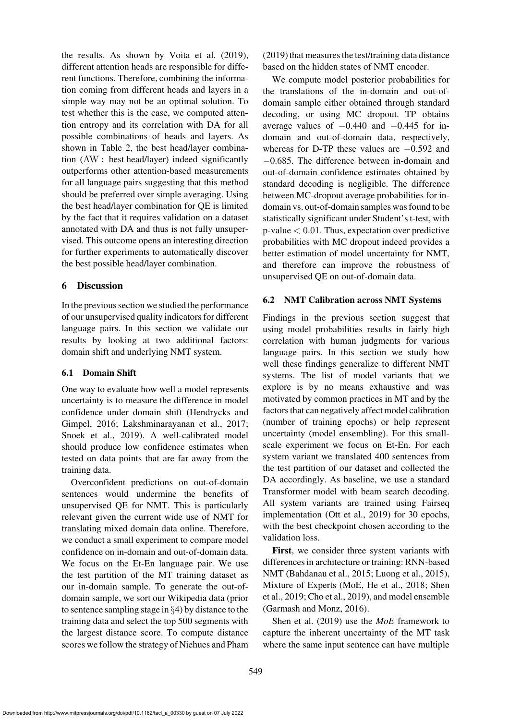the results. As shown by [Voita et al.](#page-16-9) [\(2019](#page-16-9)), different attention heads are responsible for different functions. Therefore, combining the information coming from different heads and layers in a simple way may not be an optimal solution. To test whether this is the case, we computed attention entropy and its correlation with DA for all possible combinations of heads and layers. As shown in [Table 2,](#page-8-0) the best head/layer combination (AW : best head/layer) indeed significantly outperforms other attention-based measurements for all language pairs suggesting that this method should be preferred over simple averaging. Using the best head/layer combination for QE is limited by the fact that it requires validation on a dataset annotated with DA and thus is not fully unsupervised. This outcome opens an interesting direction for further experiments to automatically discover the best possible head/layer combination.

# <span id="page-10-0"></span>6 Discussion

In the previous section we studied the performance of our unsupervised quality indicators for different language pairs. In this section we validate our results by looking at two additional factors: domain shift and underlying NMT system.

#### 6.1 Domain Shift

One way to evaluate how well a model represents uncertainty is to measure the difference in model confid[ence under domain shift \(](#page-14-13)Hendrycks and Gimpel, [2016](#page-14-13); [Lakshminarayanan et al.](#page-14-3), [2017](#page-14-3); [Snoek et al.](#page-15-12), [2019\)](#page-15-12). A well-calibrated model should produce low confidence estimates when tested on data points that are far away from the training data.

Overconfident predictions on out-of-domain sentences would undermine the benefits of unsupervised QE for NMT. This is particularly relevant given the current wide use of NMT for translating mixed domain data online. Therefore, we conduct a small experiment to compare model confidence on in-domain and out-of-domain data. We focus on the Et-En language pair. We use the test partition of the MT training dataset as our in-domain sample. To generate the out-ofdomain sample, we sort our Wikipedia data (prior to sentence sampling stage in §[4\)](#page-5-0) by distance to the training data and select the top 500 segments with the largest distance score. To compute distance scores we follow the strategy of [Niehues and Pham](#page-15-13) [\(2019](#page-15-13)) that measures the test/training data distance based on the hidden states of NMT encoder.

We compute model posterior probabilities for the translations of the in-domain and out-ofdomain sample either obtained through standard decoding, or using MC dropout. TP obtains average values of  $-0.440$  and  $-0.445$  for indomain and out-of-domain data, respectively, whereas for D-TP these values are −0.592 and −0.685. The difference between in-domain and out-of-domain confidence estimates obtained by standard decoding is negligible. The difference between MC-dropout average probabilities for indomain vs. out-of-domain samples was found to be statistically significant under Student's t-test, with  $p$ -value  $< 0.01$ . Thus, expectation over predictive probabilities with MC dropout indeed provides a better estimation of model uncertainty for NMT, and therefore can improve the robustness of unsupervised QE on out-of-domain data.

#### 6.2 NMT Calibration across NMT Systems

Findings in the previous section suggest that using model probabilities results in fairly high correlation with human judgments for various language pairs. In this section we study how well these findings generalize to different NMT systems. The list of model variants that we explore is by no means exhaustive and was motivated by common practices in MT and by the factors that can negatively affect model calibration (number of training epochs) or help represent uncertainty (model ensembling). For this smallscale experiment we focus on Et-En. For each system variant we translated 400 sentences from the test partition of our dataset and collected the DA accordingly. As baseline, we use a standard Transformer model with beam search decoding. All system variants are trained using Fairseq implementation [\(Ott et al.](#page-15-8), [2019](#page-15-8)) for 30 epochs, with the best checkpoint chosen according to the validation loss.

First, we consider three system variants with differences in architecture or training: RNN-based NMT [\(Bahdanau et al., 2015](#page-12-2); [Luong et al., 2015](#page-14-14)), Mix[ture of Experts \(MoE,](#page-15-14) [He et al.](#page-14-15)[,](#page-15-14) [2018](#page-14-15)[;](#page-15-14) Shen et al., [2019;](#page-15-14) [Cho et al.](#page-13-13), [2019](#page-13-13)), and model ensemble [\(Garmash and Monz, 2016](#page-13-14)).

Shen et al. [\(2019](#page-15-14)) use the *MoE* framework to capture the inherent uncertainty of the MT task where the same input sentence can have multiple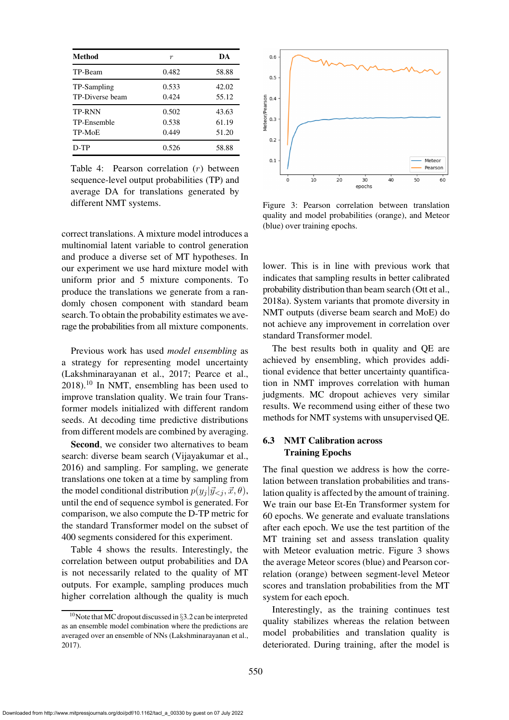| Method                                 | $\boldsymbol{r}$        | DA                      |
|----------------------------------------|-------------------------|-------------------------|
| TP-Beam                                | 0.482                   | 58.88                   |
| TP-Sampling<br>TP-Diverse beam         | 0.533<br>0.424          | 42.02<br>55.12          |
| <b>TP-RNN</b><br>TP-Ensemble<br>TP-MoE | 0.502<br>0.538<br>0.449 | 43.63<br>61.19<br>51.20 |
| D-TP                                   | 0.526                   | 58.88                   |

<span id="page-11-1"></span>Table 4: Pearson correlation (r) between sequence-level output probabilities (TP) and average DA for translations generated by different NMT systems.

correct translations. A mixture model introduces a multinomial latent variable to control generation and produce a diverse set of MT hypotheses. In our experiment we use hard mixture model with uniform prior and 5 mixture components. To produce the translations we generate from a randomly chosen component with standard beam search. To obtain the probability estimates we average the probabilities from all mixture components.

Previous work has used *model ensembling* as a strategy for representing model uncertainty [\(Lakshminarayanan et al.](#page-14-3), [2017;](#page-14-3) [Pearce et al.,](#page-15-15)  $2018$ .<sup>[10](#page-11-0)</sup> In NMT, ensembling has been used to improve translation quality. We train four Transformer models initialized with different random seeds. At decoding time predictive distributions from different models are combined by averaging.

Second, we consider two alternatives to beam search: diverse beam search [\(Vijayakumar et al.,](#page-16-15) [2016](#page-16-15)) and sampling. For sampling, we generate translations one token at a time by sampling from the model conditional distribution  $p(y_i | \vec{y} \leq i, \vec{x}, \theta)$ , until the end of sequence symbol is generated. For comparison, we also compute the D-TP metric for the standard Transformer model on the subset of 400 segments considered for this experiment.

[Table 4](#page-11-1) shows the results. Interestingly, the correlation between output probabilities and DA is not necessarily related to the quality of MT outputs. For example, sampling produces much higher correlation although the quality is much



<span id="page-11-2"></span>Figure 3: Pearson correlation between translation quality and model probabilities (orange), and Meteor (blue) over training epochs.

lower. This is in line with previous work that indicates that sampling results in better calibrated probability distribution than beam search [\(Ott et al.,](#page-15-16) [2018a](#page-15-16)). System variants that promote diversity in NMT outputs (diverse beam search and MoE) do not achieve any improvement in correlation over standard Transformer model.

The best results both in quality and QE are achieved by ensembling, which provides additional evidence that better uncertainty quantification in NMT improves correlation with human judgments. MC dropout achieves very similar results. We recommend using either of these two methods for NMT systems with unsupervised QE.

## 6.3 NMT Calibration across Training Epochs

The final question we address is how the correlation between translation probabilities and translation quality is affected by the amount of training. We train our base Et-En Transformer system for 60 epochs. We generate and evaluate translations after each epoch. We use the test partition of the MT training set and assess translation quality with Meteor evaluation metric. [Figure 3](#page-11-2) shows the average Meteor scores (blue) and Pearson correlation (orange) between segment-level Meteor scores and translation probabilities from the MT system for each epoch.

Interestingly, as the training continues test quality stabilizes whereas the relation between model probabilities and translation quality is deteriorated. During training, after the model is

<span id="page-11-0"></span><sup>&</sup>lt;sup>10</sup>Note that MC dropout discussed in §[3.2](#page-4-0) can be interpreted as an ensemble model combination where the predictions are averaged over an ensemble of NNs [\(Lakshminarayanan et al.](#page-14-3), [2017\)](#page-14-3).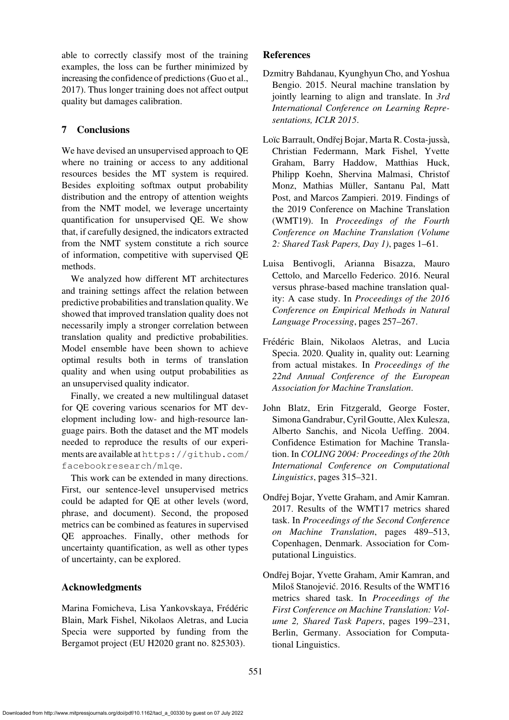able to correctly classify most of the training examples, the loss can be further minimized by increasing the confidence of predictions [\(Guo et al.,](#page-14-2) [2017](#page-14-2)). Thus longer training does not affect output quality but damages calibration.

# 7 Conclusions

We have devised an unsupervised approach to QE where no training or access to any additional resources besides the MT system is required. Besides exploiting softmax output probability distribution and the entropy of attention weights from the NMT model, we leverage uncertainty quantification for unsupervised QE. We show that, if carefully designed, the indicators extracted from the NMT system constitute a rich source of information, competitive with supervised QE methods.

We analyzed how different MT architectures and training settings affect the relation between predictive probabilities and translation quality.We showed that improved translation quality does not necessarily imply a stronger correlation between translation quality and predictive probabilities. Model ensemble have been shown to achieve optimal results both in terms of translation quality and when using output probabilities as an unsupervised quality indicator.

Finally, we created a new multilingual dataset for QE covering various scenarios for MT development including low- and high-resource language pairs. Both the dataset and the MT models needed to reproduce the results of our experiments are available at[https://github.com/](https://github.com/facebookresearch/mlqe) [facebookresearch/mlqe](https://github.com/facebookresearch/mlqe).

This work can be extended in many directions. First, our sentence-level unsupervised metrics could be adapted for QE at other levels (word, phrase, and document). Second, the proposed metrics can be combined as features in supervised QE approaches. Finally, other methods for uncertainty quantification, as well as other types of uncertainty, can be explored.

# Acknowledgments

Marina Fomicheva, Lisa Yankovskaya, Frédéric Blain, Mark Fishel, Nikolaos Aletras, and Lucia Specia were supported by funding from the Bergamot project (EU H2020 grant no. 825303).

# **References**

- <span id="page-12-2"></span>Dzmitry Bahdanau, Kyunghyun Cho, and Yoshua Bengio. 2015. Neural machine translation by jointly learning to align and translate. In *3rd International Conference on Learning Representations, ICLR 2015*.
- <span id="page-12-0"></span>Loïc Barrault, Ondřej Bojar, Marta R. Costa-jussà, Christian Federmann, Mark Fishel, Yvette Graham, Barry Haddow, Matthias Huck, Philipp Koehn, Shervina Malmasi, Christof Monz, Mathias Müller, Santanu Pal, Matt Post, and Marcos Zampieri. 2019. Findings of the 2019 Conference on Machine Translation (WMT19). In *Proceedings of the Fourth Conference on Machine Translation (Volume 2: Shared Task Papers, Day 1)*, pages 1–61.
- <span id="page-12-1"></span>Luisa Bentivogli, Arianna Bisazza, Mauro Cettolo, and Marcello Federico. 2016. Neural versus phrase-based machine translation quality: A case study. In *Proceedings of the 2016 Conference on Empirical Methods in Natural Language Processing*, pages 257–267.
- <span id="page-12-6"></span>Frédéric Blain, Nikolaos Aletras, and Lucia Specia. 2020. Quality in, quality out: Learning from actual mistakes. In *Proceedings of the 22nd Annual Conference of the European Association for Machine Translation*.
- <span id="page-12-3"></span>John Blatz, Erin Fitzgerald, George Foster, Simona Gandrabur, Cyril Goutte, Alex Kulesza, Alberto Sanchis, and Nicola Ueffing. 2004. Confidence Estimation for Machine Translation. In *COLING 2004: Proceedings of the 20th International Conference on Computational Linguistics*, pages 315–321.
- <span id="page-12-5"></span>Ondřej Bojar, Yvette Graham, and Amir Kamran. 2017. Results of the WMT17 metrics shared task. In *Proceedings of the Second Conference on Machine Translation*, pages 489–513, Copenhagen, Denmark. Association for Computational Linguistics.
- <span id="page-12-4"></span>Ondřej Bojar, Yvette Graham, Amir Kamran, and Miloš Stanojević. 2016. Results of the WMT16 metrics shared task. In *Proceedings of the First Conference on Machine Translation: Volume 2, Shared Task Papers*, pages 199–231, Berlin, Germany. Association for Computational Linguistics.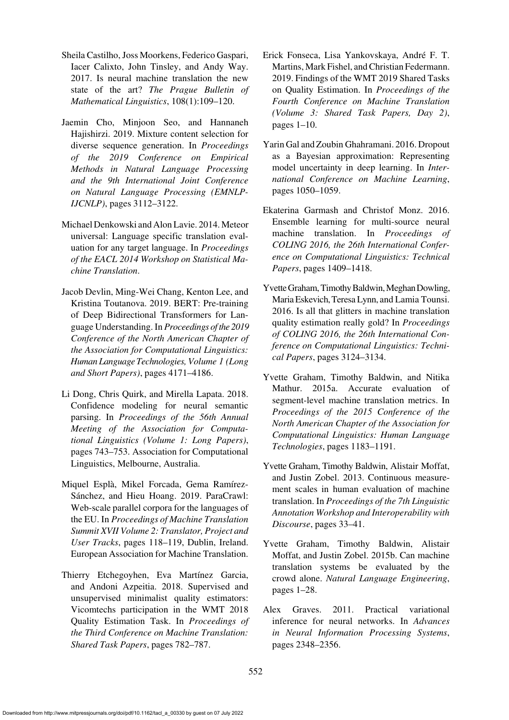- <span id="page-13-0"></span>Sheila Castilho, Joss Moorkens, Federico Gaspari, Iacer Calixto, John Tinsley, and Andy Way. 2017. Is neural machine translation the new state of the art? *The Prague Bulletin of Mathematical Linguistics*, 108(1):109–120.
- <span id="page-13-13"></span>Jaemin Cho, Minjoon Seo, and Hannaneh Hajishirzi. 2019. Mixture content selection for diverse sequence generation. In *Proceedings of the 2019 Conference on Empirical Methods in Natural Language Processing and the 9th International Joint Conference on Natural Language Processing (EMNLP-IJCNLP)*, pages 3112–3122.
- <span id="page-13-9"></span>Michael Denkowski and Alon Lavie. 2014. Meteor universal: Language specific translation evaluation for any target language. In *Proceedings of the EACL 2014 Workshop on Statistical Machine Translation*.
- <span id="page-13-12"></span>Jacob Devlin, Ming-Wei Chang, Kenton Lee, and Kristina Toutanova. 2019. BERT: Pre-training of Deep Bidirectional Transformers for Language Understanding. In *Proceedings of the 2019 Conference of the North American Chapter of the Association for Computational Linguistics: Human LanguageTechnologies, Volume 1 (Long and Short Papers)*, pages 4171–4186.
- <span id="page-13-8"></span>Li Dong, Chris Quirk, and Mirella Lapata. 2018. Confidence modeling for neural semantic parsing. In *Proceedings of the 56th Annual Meeting of the Association for Computational Linguistics (Volume 1: Long Papers)*, pages 743–753. Association for Computational Linguistics, Melbourne, Australia.
- <span id="page-13-10"></span>Miquel Esplà, Mikel Forcada, Gema Ramírez-Sánchez, and Hieu Hoang. 2019. ParaCrawl: Web-scale parallel corpora for the languages of the EU. In *Proceedings of Machine Translation Summit XVII Volume 2: Translator, Project and User Tracks*, pages 118–119, Dublin, Ireland. European Association for Machine Translation.
- <span id="page-13-4"></span>Thierry Etchegoyhen, Eva Martínez Garcia, and Andoni Azpeitia. 2018. Supervised and unsupervised minimalist quality estimators: Vicomtechs participation in the WMT 2018 Quality Estimation Task. In *Proceedings of the Third Conference on Machine Translation: Shared Task Papers*, pages 782–787.
- <span id="page-13-1"></span>Erick Fonseca, Lisa Yankovskaya, Andre F. T. ´ Martins, Mark Fishel, and Christian Federmann. 2019. Findings of the WMT 2019 Shared Tasks on Quality Estimation. In *Proceedings of the Fourth Conference on Machine Translation (Volume 3: Shared Task Papers, Day 2)*, pages 1–10.
- <span id="page-13-2"></span>Yarin Gal and Zoubin Ghahramani. 2016. Dropout as a Bayesian approximation: Representing model uncertainty in deep learning. In *International Conference on Machine Learning*, pages 1050–1059.
- <span id="page-13-14"></span>Ekaterina Garmash and Christof Monz. 2016. Ensemble learning for multi-source neural machine translation. In *Proceedings of COLING 2016, the 26th International Conference on Computational Linguistics: Technical Papers*, pages 1409–1418.
- <span id="page-13-5"></span>Yvette Graham, Timothy Baldwin, Meghan Dowling, Maria Eskevich, Teresa Lynn, and Lamia Tounsi. 2016. Is all that glitters in machine translation quality estimation really gold? In *Proceedings of COLING 2016, the 26th International Conference on Computational Linguistics: Technical Papers*, pages 3124–3134.
- <span id="page-13-6"></span>Yvette Graham, Timothy Baldwin, and Nitika Mathur. 2015a. Accurate evaluation of segment-level machine translation metrics. In *Proceedings of the 2015 Conference of the North American Chapter of the Association for Computational Linguistics: Human Language Technologies*, pages 1183–1191.
- <span id="page-13-11"></span>Yvette Graham, Timothy Baldwin, Alistair Moffat, and Justin Zobel. 2013. Continuous measurement scales in human evaluation of machine translation. In *Proceedings of the 7th Linguistic Annotation Workshop and Interoperability with Discourse*, pages 33–41.
- <span id="page-13-3"></span>Yvette Graham, Timothy Baldwin, Alistair Moffat, and Justin Zobel. 2015b. Can machine translation systems be evaluated by the crowd alone. *Natural Language Engineering*, pages 1–28.
- <span id="page-13-7"></span>Alex Graves. 2011. Practical variational inference for neural networks. In *Advances in Neural Information Processing Systems*, pages 2348–2356.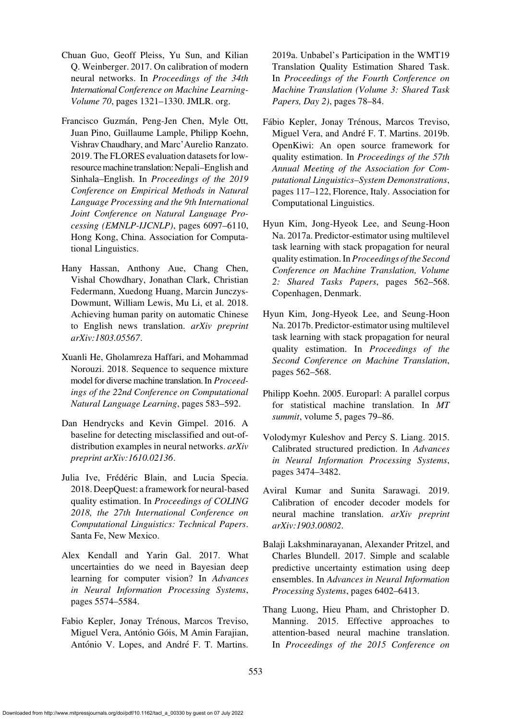- <span id="page-14-2"></span>Chuan Guo, Geoff Pleiss, Yu Sun, and Kilian Q. Weinberger. 2017. On calibration of modern neural networks. In *Proceedings of the 34th International Conference on Machine Learning-Volume 70*, pages 1321–1330. JMLR. org.
- <span id="page-14-9"></span>Francisco Guzmán, Peng-Jen Chen, Myle Ott, Juan Pino, Guillaume Lample, Philipp Koehn, Vishrav Chaudhary, and Marc'Aurelio Ranzato. 2019. The FLORES evaluation datasets for lowresource machine translation: Nepali–English and Sinhala–English. In *Proceedings of the 2019 Conference on Empirical Methods in Natural Language Processing and the 9th International Joint Conference on Natural Language Processing (EMNLP-IJCNLP)*, pages 6097–6110, Hong Kong, China. Association for Computational Linguistics.
- <span id="page-14-0"></span>Hany Hassan, Anthony Aue, Chang Chen, Vishal Chowdhary, Jonathan Clark, Christian Federmann, Xuedong Huang, Marcin Junczys-Dowmunt, William Lewis, Mu Li, et al. 2018. Achieving human parity on automatic Chinese to English news translation. *arXiv preprint arXiv:1803.05567*.
- <span id="page-14-15"></span>Xuanli He, Gholamreza Haffari, and Mohammad Norouzi. 2018. Sequence to sequence mixture model for diverse machine translation. In *Proceedings of the 22nd Conference on Computational Natural Language Learning*, pages 583–592.
- <span id="page-14-13"></span>Dan Hendrycks and Kevin Gimpel. 2016. A baseline for detecting misclassified and out-ofdistribution examples in neural networks. *arXiv preprint arXiv:1610.02136*.
- <span id="page-14-12"></span>Julia Ive, Frédéric Blain, and Lucia Specia. 2018. DeepQuest: a framework for neural-based quality estimation. In *Proceedings of COLING 2018, the 27th International Conference on Computational Linguistics: Technical Papers*. Santa Fe, New Mexico.
- <span id="page-14-8"></span>Alex Kendall and Yarin Gal. 2017. What uncertainties do we need in Bayesian deep learning for computer vision? In *Advances in Neural Information Processing Systems*, pages 5574–5584.
- <span id="page-14-5"></span>Fabio Kepler, Jonay Trénous, Marcos Treviso, Miguel Vera, António Góis, M Amin Farajian, António V. Lopes, and André F. T. Martins.

2019a. Unbabel's Participation in the WMT19 Translation Quality Estimation Shared Task. In *Proceedings of the Fourth Conference on Machine Translation (Volume 3: Shared Task Papers, Day 2)*, pages 78–84.

- <span id="page-14-11"></span>Fábio Kepler, Jonay Trénous, Marcos Treviso, Miguel Vera, and André F. T. Martins. 2019b. OpenKiwi: An open source framework for quality estimation. In *Proceedings of the 57th Annual Meeting of the Association for Computational Linguistics–System Demonstrations*, pages 117–122, Florence, Italy. Association for Computational Linguistics.
- <span id="page-14-1"></span>Hyun Kim, Jong-Hyeok Lee, and Seung-Hoon Na. 2017a. Predictor-estimator using multilevel task learning with stack propagation for neural quality estimation. In *Proceedings of the Second Conference on Machine Translation, Volume 2: Shared Tasks Papers*, pages 562–568. Copenhagen, Denmark.
- <span id="page-14-4"></span>Hyun Kim, Jong-Hyeok Lee, and Seung-Hoon Na. 2017b. Predictor-estimator using multilevel task learning with stack propagation for neural quality estimation. In *Proceedings of the Second Conference on Machine Translation*, pages 562–568.
- <span id="page-14-10"></span>Philipp Koehn. 2005. Europarl: A parallel corpus for statistical machine translation. In *MT summit*, volume 5, pages 79–86.
- <span id="page-14-7"></span>Volodymyr Kuleshov and Percy S. Liang. 2015. Calibrated structured prediction. In *Advances in Neural Information Processing Systems*, pages 3474–3482.
- <span id="page-14-6"></span>Aviral Kumar and Sunita Sarawagi. 2019. Calibration of encoder decoder models for neural machine translation. *arXiv preprint arXiv:1903.00802*.
- <span id="page-14-3"></span>Balaji Lakshminarayanan, Alexander Pritzel, and Charles Blundell. 2017. Simple and scalable predictive uncertainty estimation using deep ensembles. In *Advances in Neural Information Processing Systems*, pages 6402–6413.
- <span id="page-14-14"></span>Thang Luong, Hieu Pham, and Christopher D. Manning. 2015. Effective approaches to attention-based neural machine translation. In *Proceedings of the 2015 Conference on*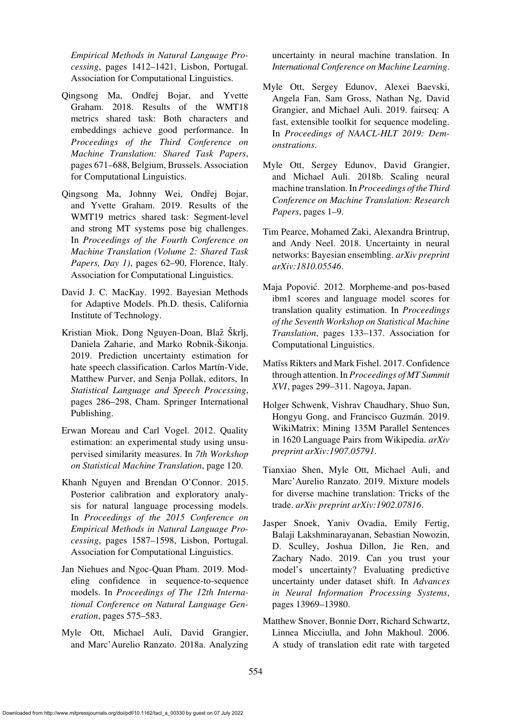*Empirical Methods in Natural Language Processing*, pages 1412–1421, Lisbon, Portugal. Association for Computational Linguistics.

- <span id="page-15-5"></span>Qingsong Ma, Ondřej Bojar, and Yvette Graham. 2018. Results of the WMT18 metrics shared task: Both characters and embeddings achieve good performance. In *Proceedings of the Third Conference on Machine Translation: Shared Task Papers*, pages 671–688, Belgium, Brussels. Association for Computational Linguistics.
- <span id="page-15-6"></span>Qingsong Ma, Johnny Wei, Ondřej Bojar, and Yvette Graham. 2019. Results of the WMT19 metrics shared task: Segment-level and strong MT systems pose big challenges. In *Proceedings of the Fourth Conference on Machine Translation (Volume 2: Shared Task Papers, Day 1)*, pages 62–90, Florence, Italy. Association for Computational Linguistics.
- <span id="page-15-7"></span>David J. C. MacKay. 1992. Bayesian Methods for Adaptive Models. Ph.D. thesis, California Institute of Technology.
- <span id="page-15-9"></span>Kristian Miok, Dong Nguyen-Doan, Blaž Škrlj, Daniela Zaharie, and Marko Robnik-Šikonja. 2019. Prediction uncertainty estimation for hate speech classification. Carlos Martín-Vide, Matthew Purver, and Senja Pollak, editors, In *Statistical Language and Speech Processing*, pages 286–298, Cham. Springer International Publishing.
- <span id="page-15-3"></span>Erwan Moreau and Carl Vogel. 2012. Quality estimation: an experimental study using unsupervised similarity measures. In *7th Workshop on Statistical Machine Translation*, page 120.
- <span id="page-15-0"></span>Khanh Nguyen and Brendan O'Connor. 2015. Posterior calibration and exploratory analysis for natural language processing models. In *Proceedings of the 2015 Conference on Empirical Methods in Natural Language Processing*, pages 1587–1598, Lisbon, Portugal. Association for Computational Linguistics.
- <span id="page-15-13"></span>Jan Niehues and Ngoc-Quan Pham. 2019. Modeling confidence in sequence-to-sequence models. In *Proceedings of The 12th International Conference on Natural Language Generation*, pages 575–583.
- <span id="page-15-16"></span>Myle Ott, Michael Auli, David Grangier, and Marc'Aurelio Ranzato. 2018a. Analyzing

uncertainty in neural machine translation. In *International Conference on Machine Learning*.

- <span id="page-15-8"></span>Myle Ott, Sergey Edunov, Alexei Baevski, Angela Fan, Sam Gross, Nathan Ng, David Grangier, and Michael Auli. 2019. fairseq: A fast, extensible toolkit for sequence modeling. In *Proceedings of NAACL-HLT 2019: Demonstrations*.
- <span id="page-15-11"></span>Myle Ott, Sergey Edunov, David Grangier, and Michael Auli. 2018b. Scaling neural machine translation. In *Proceedings of the Third Conference on Machine Translation: Research Papers*, pages 1–9.
- <span id="page-15-15"></span>Tim Pearce, Mohamed Zaki, Alexandra Brintrup, and Andy Neel. 2018. Uncertainty in neural networks: Bayesian ensembling. *arXiv preprint arXiv:1810.05546*.
- <span id="page-15-2"></span>Maja Popovic. 2012. Morpheme-and pos-based ´ ibm1 scores and language model scores for translation quality estimation. In *Proceedings of the Seventh Workshop on Statistical Machine Translation*, pages 133–137. Association for Computational Linguistics.
- <span id="page-15-1"></span>Matīss Rikters and Mark Fishel. 2017. Confidence through attention. In *Proceedings of MT Summit XVI*, pages 299–311. Nagoya, Japan.
- <span id="page-15-10"></span>Holger Schwenk, Vishrav Chaudhary, Shuo Sun, Hongyu Gong, and Francisco Guzmán. 2019. WikiMatrix: Mining 135M Parallel Sentences in 1620 Language Pairs from Wikipedia. *arXiv preprint arXiv:1907.05791*.
- <span id="page-15-14"></span>Tianxiao Shen, Myle Ott, Michael Auli, and Marc'Aurelio Ranzato. 2019. Mixture models for diverse machine translation: Tricks of the trade. *arXiv preprint arXiv:1902.07816*.
- <span id="page-15-12"></span>Jasper Snoek, Yaniv Ovadia, Emily Fertig, Balaji Lakshminarayanan, Sebastian Nowozin, D. Sculley, Joshua Dillon, Jie Ren, and Zachary Nado. 2019. Can you trust your model's uncertainty? Evaluating predictive uncertainty under dataset shift. In *Advances in Neural Information Processing Systems*, pages 13969–13980.
- <span id="page-15-4"></span>Matthew Snover, Bonnie Dorr, Richard Schwartz, Linnea Micciulla, and John Makhoul. 2006. A study of translation edit rate with targeted